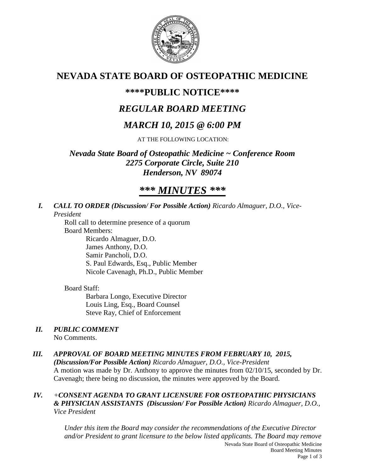

# **NEVADA STATE BOARD OF OSTEOPATHIC MEDICINE**

# **\*\*\*\*PUBLIC NOTICE\*\*\*\***

# *REGULAR BOARD MEETING*

# *MARCH 10, 2015 @ 6:00 PM*

AT THE FOLLOWING LOCATION:

*Nevada State Board of Osteopathic Medicine ~ Conference Room 2275 Corporate Circle, Suite 210 Henderson, NV 89074*

# *\*\*\* MINUTES \*\*\**

### *I. CALL TO ORDER (Discussion/ For Possible Action) Ricardo Almaguer, D.O., Vice-President*

Roll call to determine presence of a quorum Board Members: Ricardo Almaguer, D.O. James Anthony, D.O. Samir Pancholi, D.O. S. Paul Edwards, Esq., Public Member

Nicole Cavenagh, Ph.D., Public Member

# Board Staff:

Barbara Longo, Executive Director Louis Ling, Esq., Board Counsel Steve Ray, Chief of Enforcement

# *II. PUBLIC COMMENT*

No Comments.

# *III. APPROVAL OF BOARD MEETING MINUTES FROM FEBRUARY 10, 2015,*

*(Discussion/For Possible Action) Ricardo Almaguer, D.O., Vice-President* A motion was made by Dr. Anthony to approve the minutes from 02/10/15, seconded by Dr. Cavenagh; there being no discussion, the minutes were approved by the Board.

## *IV. +CONSENT AGENDA TO GRANT LICENSURE FOR OSTEOPATHIC PHYSICIANS & PHYSICIAN ASSISTANTS (Discussion/ For Possible Action) Ricardo Almaguer, D.O., Vice President*

Nevada State Board of Osteopathic Medicine Board Meeting Minutes *Under this item the Board may consider the recommendations of the Executive Director and/or President to grant licensure to the below listed applicants. The Board may remove*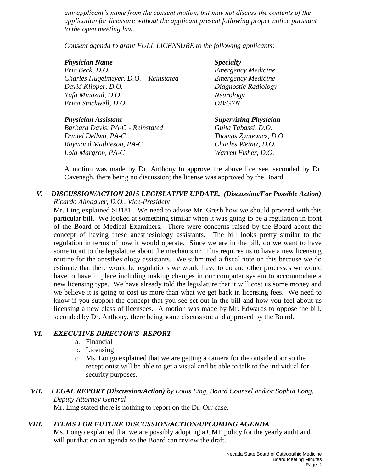*any applicant's name from the consent motion, but may not discuss the contents of the application for licensure without the applicant present following proper notice pursuant to the open meeting law.* 

*Consent agenda to grant FULL LICENSURE to the following applicants:*

### *Physician Name Specialty*

*Eric Beck, D.O. Emergency Medicine Charles Hugelmeyer, D.O. – Reinstated Emergency Medicine David Klipper, D.O. Diagnostic Radiology Yafa Minazad, D.O. Neurology Erica Stockwell, D.O. OB/GYN*

*Barbara Davis, PA-C - Reinstated Guita Tabassi, D.O. Daniel Dellwo, PA-C Thomas Zyniewicz, D.O. Raymond Mathieson, PA-C Charles Weintz, D.O. Lola Margron, PA-C Warren Fisher, D.O.*

*Physician Assistant Supervising Physician*

A motion was made by Dr. Anthony to approve the above licensee, seconded by Dr. Cavenagh, there being no discussion; the license was approved by the Board.

## *V. DISCUSSION/ACTION 2015 LEGISLATIVE UPDATE, (Discussion/For Possible Action) Ricardo Almaguer, D.O., Vice-President*

Mr. Ling explained SB181. We need to advise Mr. Gresh how we should proceed with this particular bill. We looked at something similar when it was going to be a regulation in front of the Board of Medical Examiners. There were concerns raised by the Board about the concept of having these anesthesiology assistants. The bill looks pretty similar to the regulation in terms of how it would operate. Since we are in the bill, do we want to have some input to the legislature about the mechanism? This requires us to have a new licensing routine for the anesthesiology assistants. We submitted a fiscal note on this because we do estimate that there would be regulations we would have to do and other processes we would have to have in place including making changes in our computer system to accommodate a new licensing type. We have already told the legislature that it will cost us some money and we believe it is going to cost us more than what we get back in licensing fees. We need to know if you support the concept that you see set out in the bill and how you feel about us licensing a new class of licensees. A motion was made by Mr. Edwards to oppose the bill, seconded by Dr. Anthony, there being some discussion; and approved by the Board.

# *VI. EXECUTIVE DIRECTOR'S REPORT*

- a. Financial
- b. Licensing
- c. Ms. Longo explained that we are getting a camera for the outside door so the receptionist will be able to get a visual and be able to talk to the individual for security purposes.

# *VII. LEGAL REPORT (Discussion/Action) by Louis Ling, Board Counsel and/or Sophia Long, Deputy Attorney General*

Mr. Ling stated there is nothing to report on the Dr. Orr case.

# *VIII. ITEMS FOR FUTURE DISCUSSION/ACTION/UPCOMING AGENDA*

Ms. Longo explained that we are possibly adopting a CME policy for the yearly audit and will put that on an agenda so the Board can review the draft.